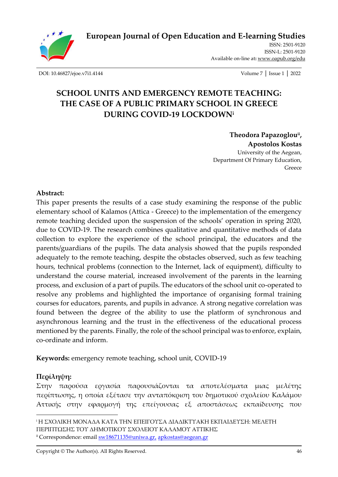

**[European Journal of Open Education and E-learning Studies](http://oapub.org/edu/index.php/ejoe)**

[ISSN: 2501-9120](http://oapub.org/edu/index.php/ejes) [ISSN-L:](http://oapub.org/edu/index.php/ejes) 2501-9120 Available on-line at**:** [www.oapub.org/edu](http://www.oapub.org/edu)

[DOI: 10.46827/ejoe.v7i1.4144](http://dx.doi.org/10.46827/ejoe.v7i1.4144) Volume 7 │ Issue 1 │ 2022

# **SCHOOL UNITS AND EMERGENCY REMOTE TEACHING: THE CASE OF A PUBLIC PRIMARY SCHOOL IN GREECE DURING COVID-19 LOCKDOWN<sup>i</sup>**

**Theodora Papazoglouii , Apostolos Kostas** University of the Aegean, Department Of Primary Education, Greece

#### **Abstract:**

This paper presents the results of a case study examining the response of the public elementary school of Kalamos (Attica - Greece) to the implementation of the emergency remote teaching decided upon the suspension of the schools' operation in spring 2020, due to COVID-19. The research combines qualitative and quantitative methods of data collection to explore the experience of the school principal, the educators and the parents/guardians of the pupils. The data analysis showed that the pupils responded adequately to the remote teaching, despite the obstacles observed, such as few teaching hours, technical problems (connection to the Internet, lack of equipment), difficulty to understand the course material, increased involvement of the parents in the learning process, and exclusion of a part of pupils. The educators of the school unit co-operated to resolve any problems and highlighted the importance of organising formal training courses for educators, parents, and pupils in advance. A strong negative correlation was found between the degree of the ability to use the platform of synchronous and asynchronous learning and the trust in the effectiveness of the educational process mentioned by the parents. Finally, the role of the school principal was to enforce, explain, co-ordinate and inform.

**Keywords:** emergency remote teaching, school unit, COVID-19

### **Περίληψη:**

Στην παρούσα εργασία παρουσιάζονται τα αποτελέσματα μιας μελέτης περίπτωσης, η οποία εξέτασε την ανταπόκριση του δημοτικού σχολείου Καλάμου Αττικής στην εφαρμογή της επείγουσας εξ αποστάσεως εκπαίδευσης που

<sup>i</sup> Η ΣΧΟΛΙΚΗ ΜΟΝΑΔΑ ΚΑΤΑ ΤΗΝ ΕΠΕΙΓΟΥΣΑ ΔΙΑΔΙΚΤΥΑΚΗ ΕΚΠΑΙΔΕΥΣΗ: ΜΕΛΕΤΗ ΠΕΡΙΠΤΩΣΗΣ ΤΟΥ ΔΗΜΟΤΙΚΟΥ ΣΧΟΛΕΙΟΥ ΚΑΛΑΜΟΥ ΑΤΤΙΚΗΣ <sup>ii</sup> Correspondence: email  $\frac{SW18671135@uniwa.gr.}{B.2}$ [apkostas@aegean.gr](mailto:apkostas@aegean.gr)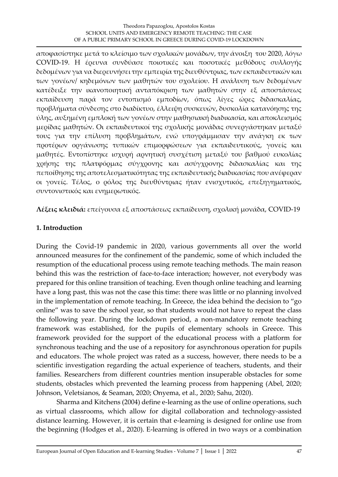αποφασίστηκε μετά το κλείσιμο των σχολικών μονάδων, την άνοιξη του 2020, λόγω COVID-19. Η έρευνα συνδύασε ποιοτικές και ποσοτικές μεθόδους συλλογής δεδομένων για να διερευνήσει την εμπειρία της διευθύντριας, των εκπαιδευτικών και των γονέων/ κηδεμόνων των μαθητών του σχολείου. Η ανάλυση των δεδομένων κατέδειξε την ικανοποιητική ανταπόκριση των μαθητών στην εξ αποστάσεως εκπαίδευση παρά τον εντοπισμό εμποδίων, όπως λίγες ώρες διδασκαλίας, προβλήματα σύνδεσης στο διαδίκτυο, έλλειψη συσκευών, δυσκολία κατανόησης της ύλης, αυξημένη εμπλοκή των γονέων στην μαθησιακή διαδικασία, και αποκλεισμός μερίδας μαθητών. Οι εκπαιδευτικοί της σχολικής μονάδας συνεργάστηκαν μεταξύ τους για την επίλυση προβλημάτων, ενώ υπογράμμισαν την ανάγκη εκ των προτέρων οργάνωσης τυπικών επιμορφώσεων για εκπαιδευτικούς, γονείς και μαθητές. Εντοπίστηκε ισχυρή αρνητική συσχέτιση μεταξύ του βαθμού ευκολίας χρήσης της πλατφόρμας σύγχρονης και ασύγχρονης διδασκαλίας και της πεποίθησης της αποτελεσματικότητας της εκπαιδευτικής διαδικασίας που ανέφεραν οι γονείς. Τέλος, ο ρόλος της διευθύντριας ήταν ενισχυτικός, επεξηγηματικός, συντονιστικός και ενημερωτικός.

**Λέξεις κλειδιά:** επείγουσα εξ αποστάσεως εκπαίδευση, σχολική μονάδα, COVID-19

### **1. Introduction**

During the Covid-19 pandemic in 2020, various governments all over the world announced measures for the confinement of the pandemic, some of which included the resumption of the educational process using remote teaching methods. The main reason behind this was the restriction of face-to-face interaction; however, not everybody was prepared for this online transition of teaching. Even though online teaching and learning have a long past, this was not the case this time: there was little or no planning involved in the implementation of remote teaching. In Greece, the idea behind the decision to "go online" was to save the school year, so that students would not have to repeat the class the following year. During the lockdown period, a non-mandatory remote teaching framework was established, for the pupils of elementary schools in Greece. This framework provided for the support of the educational process with a platform for synchronous teaching and the use of a repository for asynchronous operation for pupils and educators. The whole project was rated as a success, however, there needs to be a scientific investigation regarding the actual experience of teachers, students, and their families. Researchers from different countries mention insuperable obstacles for some students, obstacles which prevented the learning process from happening (Abel, 2020; Johnson, Veletsianos, & Seaman, 2020; Onyema, et al., 2020; Sahu, 2020).

Sharma and Kitchens (2004) define e-learning as the use of online operations, such as virtual classrooms, which allow for digital collaboration and technology-assisted distance learning. However, it is certain that e-learning is designed for online use from the beginning (Hodges et al., 2020). E-learning is offered in two ways or a combination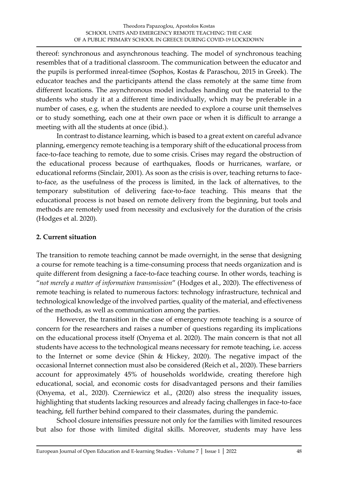thereof: synchronous and asynchronous teaching. The model of synchronous teaching resembles that of a traditional classroom. The communication between the educator and the pupils is performed inreal-timee (Sophos, Kostas & Paraschou, 2015 in Greek). The educator teaches and the participants attend the class remotely at the same time from different locations. The asynchronous model includes handing out the material to the students who study it at a different time individually, which may be preferable in a number of cases, e.g. when the students are needed to explore a course unit themselves or to study something, each one at their own pace or when it is difficult to arrange a meeting with all the students at once (ibid.).

In contrast to distance learning, which is based to a great extent on careful advance planning, emergency remote teaching is a temporary shift of the educational process from face-to-face teaching to remote, due to some crisis. Crises may regard the obstruction of the educational process because of earthquakes, floods or hurricanes, warfare, or educational reforms (Sinclair, 2001). As soon as the crisis is over, teaching returns to faceto-face, as the usefulness of the process is limited, in the lack of alternatives, to the temporary substitution of delivering face-to-face teaching. This means that the educational process is not based on remote delivery from the beginning, but tools and methods are remotely used from necessity and exclusively for the duration of the crisis (Hodges et al. 2020).

### **2. Current situation**

The transition to remote teaching cannot be made overnight, in the sense that designing a course for remote teaching is a time-consuming process that needs organization and is quite different from designing a face-to-face teaching course. In other words, teaching is "*not merely a matter of information transmission*" (Hodges et al., 2020). The effectiveness of remote teaching is related to numerous factors: technology infrastructure, technical and technological knowledge of the involved parties, quality of the material, and effectiveness of the methods, as well as communication among the parties.

However, the transition in the case of emergency remote teaching is a source of concern for the researchers and raises a number of questions regarding its implications on the educational process itself (Onyema et al. 2020). The main concern is that not all students have access to the technological means necessary for remote teaching, i.e. access to the Internet or some device (Shin & Hickey, 2020). The negative impact of the occasional Internet connection must also be considered (Reich et al., 2020). These barriers account for approximately 45% of households worldwide, creating therefore high educational, social, and economic costs for disadvantaged persons and their families (Onyema, et al., 2020). Czerniewicz et al., (2020) also stress the inequality issues, highlighting that students lacking resources and already facing challenges in face-to-face teaching, fell further behind compared to their classmates, during the pandemic.

School closure intensifies pressure not only for the families with limited resources but also for those with limited digital skills. Moreover, students may have less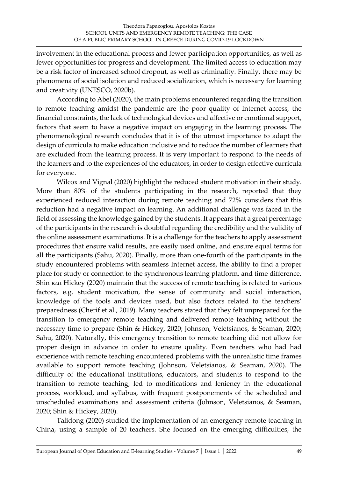involvement in the educational process and fewer participation opportunities, as well as fewer opportunities for progress and development. The limited access to education may be a risk factor of increased school dropout, as well as criminality. Finally, there may be phenomena of social isolation and reduced socialization, which is necessary for learning and creativity (UNESCO, 2020b).

According to Abel (2020), the main problems encountered regarding the transition to remote teaching amidst the pandemic are the poor quality of Internet access, the financial constraints, the lack of technological devices and affective or emotional support, factors that seem to have a negative impact on engaging in the learning process. The phenomenological research concludes that it is of the utmost importance to adapt the design of curricula to make education inclusive and to reduce the number of learners that are excluded from the learning process. It is very important to respond to the needs of the learners and to the experiences of the educators, in order to design effective curricula for everyone.

Wilcox and Vignal (2020) highlight the reduced student motivation in their study. More than 80% of the students participating in the research, reported that they experienced reduced interaction during remote teaching and 72% considers that this reduction had a negative impact on learning. An additional challenge was faced in the field of assessing the knowledge gained by the students. It appears that a great percentage of the participants in the research is doubtful regarding the credibility and the validity of the online assessment examinations. It is a challenge for the teachers to apply assessment procedures that ensure valid results, are easily used online, and ensure equal terms for all the participants (Sahu, 2020). Finally, more than one-fourth of the participants in the study encountered problems with seamless Internet access, the ability to find a proper place for study or connection to the synchronous learning platform, and time difference. Shin και Hickey (2020) maintain that the success of remote teaching is related to various factors, e.g. student motivation, the sense of community and social interaction, knowledge of the tools and devices used, but also factors related to the teachers' preparedness (Cherif et al., 2019). Many teachers stated that they felt unprepared for the transition to emergency remote teaching and delivered remote teaching without the necessary time to prepare (Shin & Hickey, 2020; Johnson, Veletsianos, & Seaman, 2020; Sahu, 2020). Naturally, this emergency transition to remote teaching did not allow for proper design in advance in order to ensure quality. Even teachers who had had experience with remote teaching encountered problems with the unrealistic time frames available to support remote teaching (Johnson, Veletsianos, & Seaman, 2020). The difficulty of the educational institutions, educators, and students to respond to the transition to remote teaching, led to modifications and leniency in the educational process, workload, and syllabus, with frequent postponements of the scheduled and unscheduled examinations and assessment criteria (Johnson, Veletsianos, & Seaman, 2020; Shin & Hickey, 2020).

Talidong (2020) studied the implementation of an emergency remote teaching in China, using a sample of 20 teachers. She focused on the emerging difficulties, the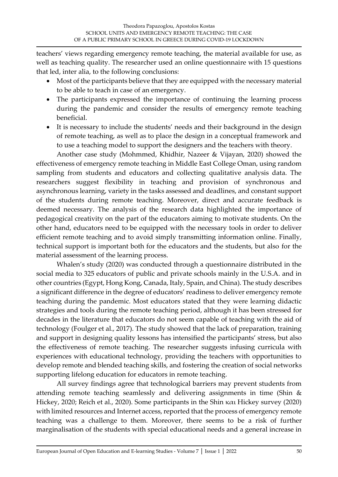teachers' views regarding emergency remote teaching, the material available for use, as well as teaching quality. The researcher used an online questionnaire with 15 questions that led, inter alia, to the following conclusions:

- Most of the participants believe that they are equipped with the necessary material to be able to teach in case of an emergency.
- The participants expressed the importance of continuing the learning process during the pandemic and consider the results of emergency remote teaching beneficial.
- It is necessary to include the students' needs and their background in the design of remote teaching, as well as to place the design in a conceptual framework and to use a teaching model to support the designers and the teachers with theory.

Another case study (Mohmmed, Khidhir, Nazeer & Vijayan, 2020) showed the effectiveness of emergency remote teaching in Middle East College Oman, using random sampling from students and educators and collecting qualitative analysis data. The researchers suggest flexibility in teaching and provision of synchronous and asynchronous learning, variety in the tasks assessed and deadlines, and constant support of the students during remote teaching. Moreover, direct and accurate feedback is deemed necessary. The analysis of the research data highlighted the importance of pedagogical creativity on the part of the educators aiming to motivate students. On the other hand, educators need to be equipped with the necessary tools in order to deliver efficient remote teaching and to avoid simply transmitting information online. Finally, technical support is important both for the educators and the students, but also for the material assessment of the learning process.

Whalen's study (2020) was conducted through a questionnaire distributed in the social media to 325 educators of public and private schools mainly in the U.S.A. and in other countries (Egypt, Hong Kong, Canada, Italy, Spain, and China). The study describes a significant difference in the degree of educators' readiness to deliver emergency remote teaching during the pandemic. Most educators stated that they were learning didactic strategies and tools during the remote teaching period, although it has been stressed for decades in the literature that educators do not seem capable of teaching with the aid of technology (Foulger et al., 2017). The study showed that the lack of preparation, training and support in designing quality lessons has intensified the participants' stress, but also the effectiveness of remote teaching. The researcher suggests infusing curricula with experiences with educational technology, providing the teachers with opportunities to develop remote and blended teaching skills, and fostering the creation of social networks supporting lifelong education for educators in remote teaching.

All survey findings agree that technological barriers may prevent students from attending remote teaching seamlessly and delivering assignments in time (Shin & Hickey, 2020; Reich et al., 2020). Some participants in the Shin και Hickey survey (2020) with limited resources and Internet access, reported that the process of emergency remote teaching was a challenge to them. Moreover, there seems to be a risk of further marginalisation of the students with special educational needs and a general increase in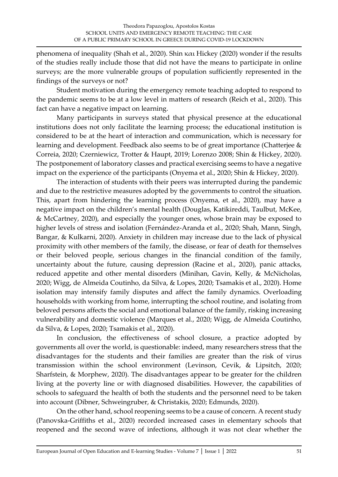phenomena of inequality (Shah et al., 2020). Shin και Hickey (2020) wonder if the results of the studies really include those that did not have the means to participate in online surveys; are the more vulnerable groups of population sufficiently represented in the findings of the surveys or not?

Student motivation during the emergency remote teaching adopted to respond to the pandemic seems to be at a low level in matters of research (Reich et al., 2020). This fact can have a negative impact on learning.

Many participants in surveys stated that physical presence at the educational institutions does not only facilitate the learning process; the educational institution is considered to be at the heart of interaction and communication, which is necessary for learning and development. Feedback also seems to be of great importance (Chatterjee & Correia, 2020; Czerniewicz, Trotter & Haupt, 2019; Lorenzo 2008; Shin & Hickey, 2020). The postponement of laboratory classes and practical exercising seems to have a negative impact on the experience of the participants (Onyema et al., 2020; Shin & Hickey, 2020).

The interaction of students with their peers was interrupted during the pandemic and due to the restrictive measures adopted by the governments to control the situation. This, apart from hindering the learning process (Onyema, et al., 2020), may have a negative impact on the children's mental health (Douglas, Katikireddi, Taulbut, McKee, & McCartney, 2020), and especially the younger ones, whose brain may be exposed to higher levels of stress and isolation (Fernández‐Aranda et al., 2020; Shah, Mann, Singh, Bangar, & Kulkarni, 2020). Anxiety in children may increase due to the lack of physical proximity with other members of the family, the disease, or fear of death for themselves or their beloved people, serious changes in the financial condition of the family, uncertainty about the future, causing depression (Racine et al., 2020), panic attacks, reduced appetite and other mental disorders (Minihan, Gavin, Kelly, & McNicholas, 2020; Wigg, de Almeida Coutinho, da Silva, & Lopes, 2020; Tsamakis et al., 2020). Home isolation may intensify family disputes and affect the family dynamics. Overloading households with working from home, interrupting the school routine, and isolating from beloved persons affects the social and emotional balance of the family, risking increasing vulnerability and domestic violence (Marques et al., 2020; Wigg, de Almeida Coutinho, da Silva, & Lopes, 2020; Tsamakis et al., 2020).

In conclusion, the effectiveness of school closure, a practice adopted by governments all over the world, is questionable: indeed, many researchers stress that the disadvantages for the students and their families are greater than the risk of virus transmission within the school environment (Levinson, Cevik, & Lipsitch, 2020; Sharfstein, & Morphew, 2020). The disadvantages appear to be greater for the children living at the poverty line or with diagnosed disabilities. However, the capabilities of schools to safeguard the health of both the students and the personnel need to be taken into account (Dibner, Schweingruber, & Christakis, 2020; Edmunds, 2020).

On the other hand, school reopening seems to be a cause of concern. A recent study (Panovska-Griffiths et al., 2020) recorded increased cases in elementary schools that reopened and the second wave of infections, although it was not clear whether the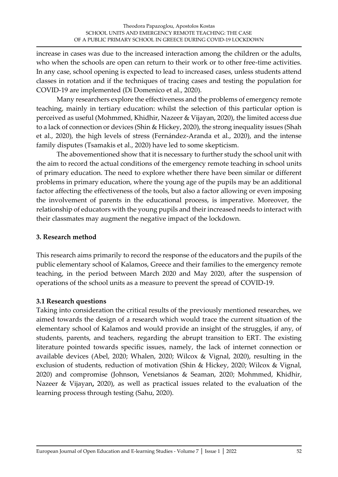increase in cases was due to the increased interaction among the children or the adults, who when the schools are open can return to their work or to other free-time activities. In any case, school opening is expected to lead to increased cases, unless students attend classes in rotation and if the techniques of tracing cases and testing the population for COVID-19 are implemented (Di Domenico et al., 2020).

Many researchers explore the effectiveness and the problems of emergency remote teaching, mainly in tertiary education: whilst the selection of this particular option is perceived as useful (Mohmmed, Khidhir, Nazeer & Vijayan, 2020), the limited access due to a lack of connection or devices (Shin & Hickey, 2020), the strong inequality issues (Shah et al., 2020), the high levels of stress (Fernández‐Aranda et al., 2020), and the intense family disputes (Tsamakis et al., 2020) have led to some skepticism.

The abovementioned show that it is necessary to further study the school unit with the aim to record the actual conditions of the emergency remote teaching in school units of primary education. The need to explore whether there have been similar or different problems in primary education, where the young age of the pupils may be an additional factor affecting the effectiveness of the tools, but also a factor allowing or even imposing the involvement of parents in the educational process, is imperative. Moreover, the relationship of educators with the young pupils and their increased needs to interact with their classmates may augment the negative impact of the lockdown.

#### **3. Research method**

This research aims primarily to record the response of the educators and the pupils of the public elementary school of Kalamos, Greece and their families to the emergency remote teaching, in the period between March 2020 and May 2020, after the suspension of operations of the school units as a measure to prevent the spread of COVID-19.

#### **3.1 Research questions**

Taking into consideration the critical results of the previously mentioned researches, we aimed towards the design of a research which would trace the current situation of the elementary school of Kalamos and would provide an insight of the struggles, if any, of students, parents, and teachers, regarding the abrupt transition to ERT. The existing literature pointed towards specific issues, namely, the lack of internet connection or available devices (Abel, 2020; Whalen, 2020; Wilcox & Vignal, 2020), resulting in the exclusion of students, reduction of motivation (Shin & Hickey, 2020; Wilcox & Vignal, 2020) and compromise (Johnson, Venetsianos & Seaman, 2020; Mohmmed, Khidhir, Nazeer & Vijayan**,** 2020), as well as practical issues related to the evaluation of the learning process through testing (Sahu, 2020).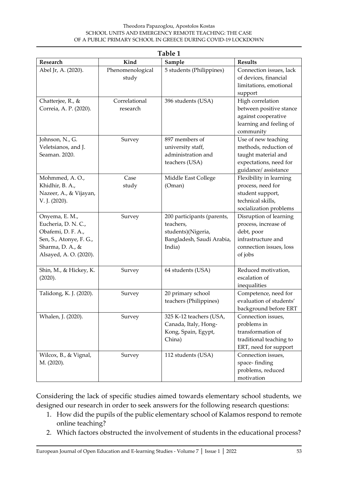#### Theodora Papazoglou, Apostolos Kostas SCHOOL UNITS AND EMERGENCY REMOTE TEACHING: THE CASE OF A PUBLIC PRIMARY SCHOOL IN GREECE DURING COVID-19 LOCKDOWN

| Table 1                                                                                                                              |                           |                                                                                                      |                                                                                                                          |  |  |  |
|--------------------------------------------------------------------------------------------------------------------------------------|---------------------------|------------------------------------------------------------------------------------------------------|--------------------------------------------------------------------------------------------------------------------------|--|--|--|
| Research                                                                                                                             | Kind                      | Sample                                                                                               | <b>Results</b>                                                                                                           |  |  |  |
| Abel Jr, A. (2020).                                                                                                                  | Phenomenological<br>study | 5 students (Philippines)                                                                             | Connection issues, lack<br>of devices, financial<br>limitations, emotional<br>support                                    |  |  |  |
| Chatterjee, R., &<br>Correia, A. P. (2020).                                                                                          | Correlational<br>research | 396 students (USA)                                                                                   | High correlation<br>between positive stance<br>against cooperative<br>learning and feeling of<br>community               |  |  |  |
| Johnson, N., G.<br>Veletsianos, and J.<br>Seaman. 2020.                                                                              | Survey                    | 897 members of<br>university staff,<br>administration and<br>teachers (USA)                          | Use of new teaching<br>methods, reduction of<br>taught material and<br>expectations, need for<br>guidance/assistance     |  |  |  |
| Mohmmed, A.O.,<br>Khidhir, B. A.,<br>Nazeer, A., & Vijayan,<br>V. J. (2020).                                                         | Case<br>study             | Middle East College<br>(Oman)                                                                        | Flexibility in learning<br>process, need for<br>student support,<br>technical skills,<br>socialization problems          |  |  |  |
| Onyema, E. M.,<br>Eucheria, D. N. C.,<br>Obafemi, D. F. A.,<br>Sen, S., Atonye, F. G.,<br>Sharma, D. A., &<br>Alsayed, A. O. (2020). | Survey                    | 200 participants (parents,<br>teachers,<br>students)(Nigeria,<br>Bangladesh, Saudi Arabia,<br>India) | Disruption of learning<br>process, increase of<br>debt, poor<br>infrastructure and<br>connection issues, loss<br>of jobs |  |  |  |
| Shin, M., & Hickey, K.<br>(2020).                                                                                                    | Survey                    | 64 students (USA)                                                                                    | Reduced motivation,<br>escalation of<br>inequalities                                                                     |  |  |  |
| Talidong, K. J. (2020).                                                                                                              | Survey                    | 20 primary school<br>teachers (Philippines)                                                          | Competence, need for<br>evaluation of students'<br>background before ERT                                                 |  |  |  |
| Whalen, J. (2020).                                                                                                                   | Survey                    | 325 K-12 teachers (USA,<br>Canada, Italy, Hong-<br>Kong, Spain, Egypt,<br>China)                     | Connection issues,<br>problems in<br>transformation of<br>traditional teaching to<br>ERT, need for support               |  |  |  |
| Wilcox, B., & Vignal,<br>M. (2020).                                                                                                  | Survey                    | 112 students (USA)                                                                                   | Connection issues,<br>space-finding<br>problems, reduced<br>motivation                                                   |  |  |  |

Considering the lack of specific studies aimed towards elementary school students, we designed our research in order to seek answers for the following research questions:

- 1. How did the pupils of the public elementary school of Kalamos respond to remote online teaching?
- 2. Which factors obstructed the involvement of students in the educational process?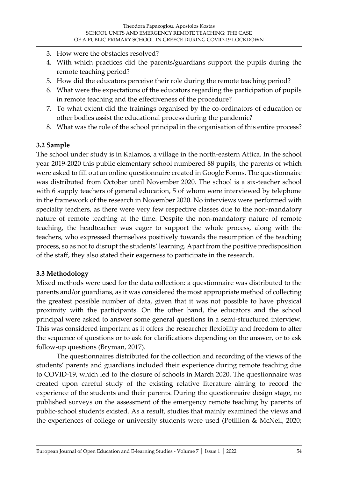- 3. How were the obstacles resolved?
- 4. With which practices did the parents/guardians support the pupils during the remote teaching period?
- 5. How did the educators perceive their role during the remote teaching period?
- 6. What were the expectations of the educators regarding the participation of pupils in remote teaching and the effectiveness of the procedure?
- 7. To what extent did the trainings organised by the co-ordinators of education or other bodies assist the educational process during the pandemic?
- 8. What was the role of the school principal in the organisation of this entire process?

### **3.2 Sample**

The school under study is in Kalamos, a village in the north-eastern Attica. In the school year 2019-2020 this public elementary school numbered 88 pupils, the parents of which were asked to fill out an online questionnaire created in Google Forms. The questionnaire was distributed from October until November 2020. The school is a six-teacher school with 6 supply teachers of general education, 5 of whom were interviewed by telephone in the framework of the research in November 2020. No interviews were performed with specialty teachers, as there were very few respective classes due to the non-mandatory nature of remote teaching at the time. Despite the non-mandatory nature of remote teaching, the headteacher was eager to support the whole process, along with the teachers, who expressed themselves positively towards the resumption of the teaching process, so as not to disrupt the students' learning. Apart from the positive predisposition of the staff, they also stated their eagerness to participate in the research.

#### **3.3 Methodology**

Mixed methods were used for the data collection: a questionnaire was distributed to the parents and/or guardians, as it was considered the most appropriate method of collecting the greatest possible number of data, given that it was not possible to have physical proximity with the participants. On the other hand, the educators and the school principal were asked to answer some general questions in a semi-structured interview. This was considered important as it offers the researcher flexibility and freedom to alter the sequence of questions or to ask for clarifications depending on the answer, or to ask follow-up questions (Bryman, 2017).

The questionnaires distributed for the collection and recording of the views of the students' parents and guardians included their experience during remote teaching due to COVID-19, which led to the closure of schools in March 2020. The questionnaire was created upon careful study of the existing relative literature aiming to record the experience of the students and their parents. During the questionnaire design stage, no published surveys on the assessment of the emergency remote teaching by parents of public-school students existed. As a result, studies that mainly examined the views and the experiences of college or university students were used (Petillion & McNeil, 2020;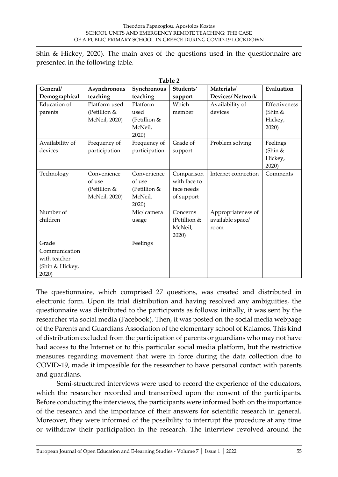Shin & Hickey, 2020). The main axes of the questions used in the questionnaire are presented in the following table.

| Table 2             |               |                |              |                        |               |  |  |  |
|---------------------|---------------|----------------|--------------|------------------------|---------------|--|--|--|
| General/            | Asynchronous  | Synchronous    | Students'    | Materials/             | Evaluation    |  |  |  |
| Demographical       | teaching      | teaching       | support      | <b>Devices/Network</b> |               |  |  |  |
| <b>Education</b> of | Platform used | Platform       | Which        | Availability of        | Effectiveness |  |  |  |
| parents             | (Petillion &  | used           | member       | devices                | (Shin &       |  |  |  |
|                     | McNeil, 2020) | (Petillion $&$ |              |                        | Hickey,       |  |  |  |
|                     |               | McNeil,        |              |                        | 2020          |  |  |  |
|                     |               | 2020           |              |                        |               |  |  |  |
| Availability of     | Frequency of  | Frequency of   | Grade of     | Problem solving        | Feelings      |  |  |  |
| devices             | participation | participation  | support      |                        | (Shin $&$     |  |  |  |
|                     |               |                |              |                        | Hickey,       |  |  |  |
|                     |               |                |              |                        | 2020)         |  |  |  |
| Technology          | Convenience   | Convenience    | Comparison   | Internet connection    | Comments      |  |  |  |
|                     | of use        | of use         | with face to |                        |               |  |  |  |
|                     | (Petillion &  | (Petillion &   | face needs   |                        |               |  |  |  |
|                     | McNeil, 2020) | McNeil,        | of support   |                        |               |  |  |  |
|                     |               | 2020)          |              |                        |               |  |  |  |
| Number of           |               | Mic/camera     | Concerns     | Appropriateness of     |               |  |  |  |
| children            |               | usage          | (Petillion & | available space/       |               |  |  |  |
|                     |               |                | McNeil,      | room                   |               |  |  |  |
|                     |               |                | 2020)        |                        |               |  |  |  |
| Grade               |               | Feelings       |              |                        |               |  |  |  |
| Communication       |               |                |              |                        |               |  |  |  |
| with teacher        |               |                |              |                        |               |  |  |  |
| (Shin & Hickey,     |               |                |              |                        |               |  |  |  |
| 2020)               |               |                |              |                        |               |  |  |  |

**Table 2** 

The questionnaire, which comprised 27 questions, was created and distributed in electronic form. Upon its trial distribution and having resolved any ambiguities, the questionnaire was distributed to the participants as follows: initially, it was sent by the researcher via social media (Facebook). Then, it was posted on the social media webpage of the Parents and Guardians Association of the elementary school of Kalamos. This kind of distribution excluded from the participation of parents or guardians who may not have had access to the Internet or to this particular social media platform, but the restrictive measures regarding movement that were in force during the data collection due to COVID-19, made it impossible for the researcher to have personal contact with parents and guardians.

Semi-structured interviews were used to record the experience of the educators, which the researcher recorded and transcribed upon the consent of the participants. Before conducting the interviews, the participants were informed both on the importance of the research and the importance of their answers for scientific research in general. Moreover, they were informed of the possibility to interrupt the procedure at any time or withdraw their participation in the research. The interview revolved around the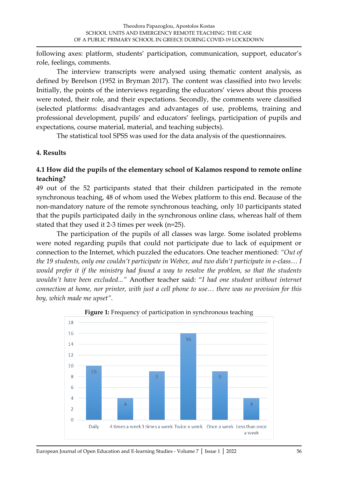following axes: platform, students' participation, communication, support, educator's role, feelings, comments.

The interview transcripts were analysed using thematic content analysis, as defined by Berelson (1952 in Bryman 2017). The content was classified into two levels: Initially, the points of the interviews regarding the educators' views about this process were noted, their role, and their expectations. Secondly, the comments were classified (selected platforms: disadvantages and advantages of use, problems, training and professional development, pupils' and educators' feelings, participation of pupils and expectations, course material, material, and teaching subjects).

The statistical tool SPSS was used for the data analysis of the questionnaires.

### **4. Results**

### **4.1 How did the pupils of the elementary school of Kalamos respond to remote online teaching?**

49 out of the 52 participants stated that their children participated in the remote synchronous teaching, 48 of whom used the Webex platform to this end. Because of the non-mandatory nature of the remote synchronous teaching, only 10 participants stated that the pupils participated daily in the synchronous online class, whereas half of them stated that they used it 2-3 times per week (n=25).

The participation of the pupils of all classes was large. Some isolated problems were noted regarding pupils that could not participate due to lack of equipment or connection to the Internet, which puzzled the educators. One teacher mentioned: *"Out of the 19 students, only one couldn't participate in Webex, and two didn't participate in e-class… I would prefer it if the ministry had found a way to resolve the problem, so that the students wouldn't have been excluded..."* Another teacher said: "*I had one student without internet connection at home, nor printer, with just a cell phone to use… there was no provision for this boy, which made me upset".*



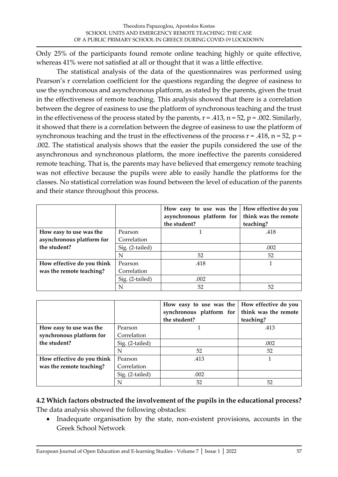Only 25% of the participants found remote online teaching highly or quite effective, whereas 41% were not satisfied at all or thought that it was a little effective.

The statistical analysis of the data of the questionnaires was performed using Pearson's r correlation coefficient for the questions regarding the degree of easiness to use the synchronous and asynchronous platform, as stated by the parents, given the trust in the effectiveness of remote teaching. This analysis showed that there is a correlation between the degree of easiness to use the platform of synchronous teaching and the trust in the effectiveness of the process stated by the parents,  $r = .413$ ,  $n = 52$ ,  $p = .002$ . Similarly, it showed that there is a correlation between the degree of easiness to use the platform of synchronous teaching and the trust in the effectiveness of the process  $r = .418$ ,  $n = 52$ ,  $p =$ .002. The statistical analysis shows that the easier the pupils considered the use of the asynchronous and synchronous platform, the more ineffective the parents considered remote teaching. That is, the parents may have believed that emergency remote teaching was not effective because the pupils were able to easily handle the platforms for the classes. No statistical correlation was found between the level of education of the parents and their stance throughout this process.

|                            |                 | How easy to use was the $\vert$ How effective do you<br>asynchronous platform for $\vert$ think was the remote |           |
|----------------------------|-----------------|----------------------------------------------------------------------------------------------------------------|-----------|
|                            |                 | the student?                                                                                                   | teaching? |
| How easy to use was the    | Pearson         |                                                                                                                | .418      |
| asynchronous platform for  | Correlation     |                                                                                                                |           |
| the student?               | Sig. (2-tailed) |                                                                                                                | .002      |
|                            | N               | 52                                                                                                             | 52        |
| How effective do you think | Pearson         | .418                                                                                                           |           |
| was the remote teaching?   | Correlation     |                                                                                                                |           |
|                            | Sig. (2-tailed) | .002                                                                                                           |           |
|                            |                 | 52                                                                                                             | 52        |

|                            |                 | How easy to use was the $\vert$ How effective do you<br>synchronous platform for | think was the remote |
|----------------------------|-----------------|----------------------------------------------------------------------------------|----------------------|
|                            |                 | the student?                                                                     | teaching?            |
| How easy to use was the    | Pearson         |                                                                                  | .413                 |
| synchronous platform for   | Correlation     |                                                                                  |                      |
| the student?               | Sig. (2-tailed) |                                                                                  | .002                 |
|                            | N               | 52                                                                               | 52                   |
| How effective do you think | Pearson         | .413                                                                             |                      |
| was the remote teaching?   | Correlation     |                                                                                  |                      |
|                            | Sig. (2-tailed) | .002                                                                             |                      |
|                            | N               | 52                                                                               | 52                   |

### **4.2 Which factors obstructed the involvement of the pupils in the educational process?** The data analysis showed the following obstacles:

• Inadequate organisation by the state, non-existent provisions, accounts in the Greek School Network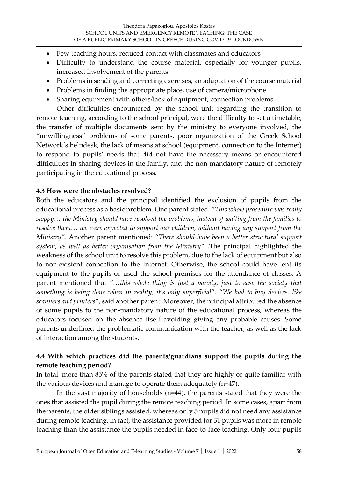- Few teaching hours, reduced contact with classmates and educators
- Difficulty to understand the course material, especially for younger pupils, increased involvement of the parents
- Problems in sending and correcting exercises, an adaptation of the course material
- Problems in finding the appropriate place, use of camera/microphone
- Sharing equipment with others/lack of equipment, connection problems.

Other difficulties encountered by the school unit regarding the transition to remote teaching, according to the school principal, were the difficulty to set a timetable, the transfer of multiple documents sent by the ministry to everyone involved, the "unwillingness" problems of some parents, poor organization of the Greek School Network's helpdesk, the lack of means at school (equipment, connection to the Internet) to respond to pupils' needs that did not have the necessary means or encountered difficulties in sharing devices in the family, and the non-mandatory nature of remotely participating in the educational process.

#### **4.3 How were the obstacles resolved?**

Both the educators and the principal identified the exclusion of pupils from the educational process as a basic problem. One parent stated: "*This whole procedure was really sloppy… the Ministry should have resolved the problems, instead of waiting from the families to resolve them… we were expected to support our children, without having any support from the Ministry"*. Another parent mentioned: "*There should have been a better structural support system, as well as better organisation from the Ministry"* .The principal highlighted the weakness of the school unit to resolve this problem, due to the lack of equipment but also to non-existent connection to the Internet. Otherwise, the school could have lent its equipment to the pupils or used the school premises for the attendance of classes. A parent mentioned that *"…this whole thing is just a parody, just to ease the society that something is being done when in reality, it's only superficial*". "*We had to buy devices, like scanners and printers*", said another parent. Moreover, the principal attributed the absence of some pupils to the non-mandatory nature of the educational process, whereas the educators focused on the absence itself avoiding giving any probable causes. Some parents underlined the problematic communication with the teacher, as well as the lack of interaction among the students.

### **4.4 With which practices did the parents/guardians support the pupils during the remote teaching period?**

In total, more than 85% of the parents stated that they are highly or quite familiar with the various devices and manage to operate them adequately (n=47).

In the vast majority of households (n=44), the parents stated that they were the ones that assisted the pupil during the remote teaching period. In some cases, apart from the parents, the older siblings assisted, whereas only 5 pupils did not need any assistance during remote teaching. In fact, the assistance provided for 31 pupils was more in remote teaching than the assistance the pupils needed in face-to-face teaching. Only four pupils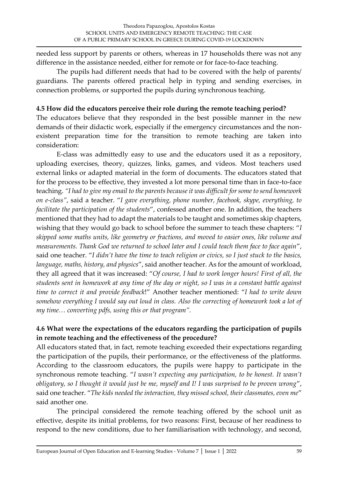needed less support by parents or others, whereas in 17 households there was not any difference in the assistance needed, either for remote or for face-to-face teaching.

The pupils had different needs that had to be covered with the help of parents/ guardians. The parents offered practical help in typing and sending exercises, in connection problems, or supported the pupils during synchronous teaching.

#### **4.5 How did the educators perceive their role during the remote teaching period?**

The educators believe that they responded in the best possible manner in the new demands of their didactic work, especially if the emergency circumstances and the nonexistent preparation time for the transition to remote teaching are taken into consideration:

E-class was admittedly easy to use and the educators used it as a repository, uploading exercises, theory, quizzes, links, games, and videos. Most teachers used external links or adapted material in the form of documents. The educators stated that for the process to be effective, they invested a lot more personal time than in face-to-face teaching. *"I had to give my email to the parents because it was difficult for some to send homework on e-class"*, said a teacher. "*I gave everything, phone number, facebook, skype, everything, to facilitate the participation of the students*", confessed another one. In addition, the teachers mentioned that they had to adapt the materials to be taught and sometimes skip chapters, wishing that they would go back to school before the summer to teach these chapters: "*I skipped some maths units, like geometry or fractions, and moved to easier ones, like volume and measurements. Thank God we returned to school later and I could teach them face to face again*", said one teacher. "*I didn't have the time to teach religion or civics, so I just stuck to the basics, language, maths, history, and physics*", said another teacher. As for the amount of workload, they all agreed that it was increased: "*Of course, I had to work longer hours! First of all, the students sent in homework at any time of the day or night, so I was in a constant battle against time to correct it and provide feedback*!" Another teacher mentioned: "*I had to write down somehow everything I would say out loud in class. Also the correcting of homework took a lot of my time… converting pdfs, using this or that program".*

### **4.6 What were the expectations of the educators regarding the participation of pupils in remote teaching and the effectiveness of the procedure?**

All educators stated that, in fact, remote teaching exceeded their expectations regarding the participation of the pupils, their performance, or the effectiveness of the platforms. According to the classroom educators, the pupils were happy to participate in the synchronous remote teaching. "*I wasn't expecting any participation, to be honest. It wasn't obligatory, so I thought it would just be me, myself and I! I was surprised to be proven wrong*", said one teacher. "*The kids needed the interaction, they missed school, their classmates, even me*" said another one.

The principal considered the remote teaching offered by the school unit as effective, despite its initial problems, for two reasons: First, because of her readiness to respond to the new conditions, due to her familiarisation with technology, and second,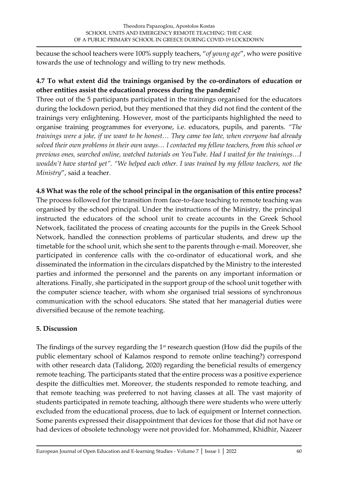because the school teachers were 100% supply teachers, "*of young age*", who were positive towards the use of technology and willing to try new methods.

## **4.7 To what extent did the trainings organised by the co-ordinators of education or other entities assist the educational process during the pandemic?**

Three out of the 5 participants participated in the trainings organised for the educators during the lockdown period, but they mentioned that they did not find the content of the trainings very enlightening. However, most of the participants highlighted the need to organise training programmes for everyone, i.e. educators, pupils, and parents. *"The trainings were a joke, if we want to be honest… They came too late, when everyone had already solved their own problems in their own ways… I contacted my fellow teachers, from this school or previous ones, searched online, watched tutorials on YouTube. Had I waited for the trainings…I wouldn't have started yet". "We helped each other. I was trained by my fellow teachers, not the Ministry*", said a teacher.

## **4.8 What was the role of the school principal in the organisation of this entire process?**

The process followed for the transition from face-to-face teaching to remote teaching was organised by the school principal. Under the instructions of the Ministry, the principal instructed the educators of the school unit to create accounts in the Greek School Network, facilitated the process of creating accounts for the pupils in the Greek School Network, handled the connection problems of particular students, and drew up the timetable for the school unit, which she sent to the parents through e-mail. Moreover, she participated in conference calls with the co-ordinator of educational work, and she disseminated the information in the circulars dispatched by the Ministry to the interested parties and informed the personnel and the parents on any important information or alterations. Finally, she participated in the support group of the school unit together with the computer science teacher, with whom she organised trial sessions of synchronous communication with the school educators. She stated that her managerial duties were diversified because of the remote teaching.

### **5. Discussion**

The findings of the survey regarding the  $1<sup>st</sup>$  research question (How did the pupils of the public elementary school of Kalamos respond to remote online teaching?) correspond with other research data (Talidong, 2020) regarding the beneficial results of emergency remote teaching. The participants stated that the entire process was a positive experience despite the difficulties met. Moreover, the students responded to remote teaching, and that remote teaching was preferred to not having classes at all. The vast majority of students participated in remote teaching, although there were students who were utterly excluded from the educational process, due to lack of equipment or Internet connection. Some parents expressed their disappointment that devices for those that did not have or had devices of obsolete technology were not provided for. Mohammed, Khidhir, Nazeer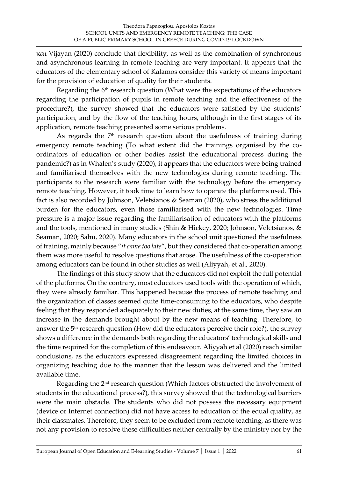και Vijayan (2020) conclude that flexibility, as well as the combination of synchronous and asynchronous learning in remote teaching are very important. It appears that the educators of the elementary school of Kalamos consider this variety of means important for the provision of education of quality for their students.

Regarding the 6<sup>th</sup> research question (What were the expectations of the educators regarding the participation of pupils in remote teaching and the effectiveness of the procedure?), the survey showed that the educators were satisfied by the students' participation, and by the flow of the teaching hours, although in the first stages of its application, remote teaching presented some serious problems.

As regards the  $7<sup>th</sup>$  research question about the usefulness of training during emergency remote teaching (To what extent did the trainings organised by the coordinators of education or other bodies assist the educational process during the pandemic?) as in Whalen's study (2020), it appears that the educators were being trained and familiarised themselves with the new technologies during remote teaching. The participants to the research were familiar with the technology before the emergency remote teaching. However, it took time to learn how to operate the platforms used. This fact is also recorded by Johnson, Veletsianos & Seaman (2020), who stress the additional burden for the educators, even those familiarised with the new technologies. Time pressure is a major issue regarding the familiarisation of educators with the platforms and the tools, mentioned in many studies (Shin & Hickey, 2020; Johnson, Veletsianos, & Seaman, 2020; Sahu, 2020). Many educators in the school unit questioned the usefulness of training, mainly because "*it came too late*", but they considered that co-operation among them was more useful to resolve questions that arose. The usefulness of the co-operation among educators can be found in other studies as well (Aliyyah, et al., 2020).

The findings of this study show that the educators did not exploit the full potential of the platforms. On the contrary, most educators used tools with the operation of which, they were already familiar. This happened because the process of remote teaching and the organization of classes seemed quite time-consuming to the educators, who despite feeling that they responded adequately to their new duties, at the same time, they saw an increase in the demands brought about by the new means of teaching. Therefore, to answer the 5th research question (How did the educators perceive their role?), the survey shows a difference in the demands both regarding the educators' technological skills and the time required for the completion of this endeavour. Aliyyah et al (2020) reach similar conclusions, as the educators expressed disagreement regarding the limited choices in organizing teaching due to the manner that the lesson was delivered and the limited available time.

Regarding the 2nd research question (Which factors obstructed the involvement of students in the educational process?), this survey showed that the technological barriers were the main obstacle. The students who did not possess the necessary equipment (device or Internet connection) did not have access to education of the equal quality, as their classmates. Therefore, they seem to be excluded from remote teaching, as there was not any provision to resolve these difficulties neither centrally by the ministry nor by the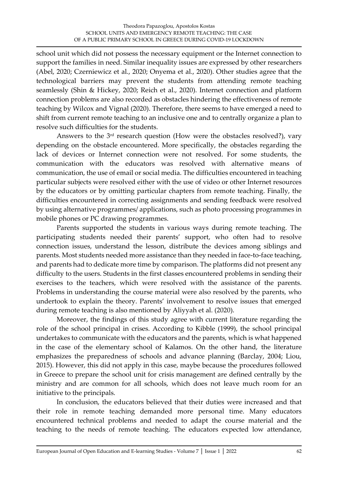school unit which did not possess the necessary equipment or the Internet connection to support the families in need. Similar inequality issues are expressed by other researchers (Abel, 2020; Czerniewicz et al., 2020; Onyema et al., 2020). Other studies agree that the technological barriers may prevent the students from attending remote teaching seamlessly (Shin & Hickey, 2020; Reich et al., 2020). Internet connection and platform connection problems are also recorded as obstacles hindering the effectiveness of remote teaching by Wilcox and Vignal (2020). Therefore, there seems to have emerged a need to shift from current remote teaching to an inclusive one and to centrally organize a plan to resolve such difficulties for the students.

Answers to the 3rd research question (How were the obstacles resolved?), vary depending on the obstacle encountered. More specifically, the obstacles regarding the lack of devices or Internet connection were not resolved. For some students, the communication with the educators was resolved with alternative means of communication, the use of email or social media. The difficulties encountered in teaching particular subjects were resolved either with the use of video or other Internet resources by the educators or by omitting particular chapters from remote teaching. Finally, the difficulties encountered in correcting assignments and sending feedback were resolved by using alternative programmes/ applications, such as photo processing programmes in mobile phones or PC drawing programmes.

Parents supported the students in various ways during remote teaching. The participating students needed their parents' support, who often had to resolve connection issues, understand the lesson, distribute the devices among siblings and parents. Most students needed more assistance than they needed in face-to-face teaching, and parents had to dedicate more time by comparison. The platforms did not present any difficulty to the users. Students in the first classes encountered problems in sending their exercises to the teachers, which were resolved with the assistance of the parents. Problems in understanding the course material were also resolved by the parents, who undertook to explain the theory. Parents' involvement to resolve issues that emerged during remote teaching is also mentioned by Aliyyah et al. (2020).

Moreover, the findings of this study agree with current literature regarding the role of the school principal in crises. According to Kibble (1999), the school principal undertakes to communicate with the educators and the parents, which is what happened in the case of the elementary school of Kalamos. On the other hand, the literature emphasizes the preparedness of schools and advance planning (Barclay, 2004; Liou, 2015). However, this did not apply in this case, maybe because the procedures followed in Greece to prepare the school unit for crisis management are defined centrally by the ministry and are common for all schools, which does not leave much room for an initiative to the principals.

In conclusion, the educators believed that their duties were increased and that their role in remote teaching demanded more personal time. Many educators encountered technical problems and needed to adapt the course material and the teaching to the needs of remote teaching. The educators expected low attendance,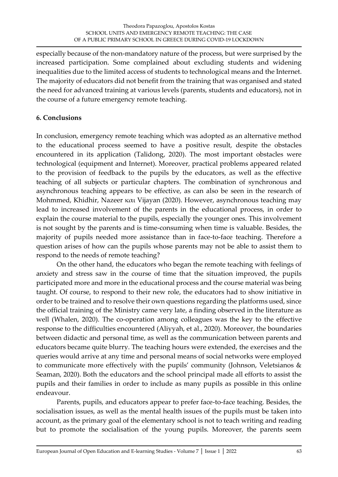especially because of the non-mandatory nature of the process, but were surprised by the increased participation. Some complained about excluding students and widening inequalities due to the limited access of students to technological means and the Internet. The majority of educators did not benefit from the training that was organised and stated the need for advanced training at various levels (parents, students and educators), not in the course of a future emergency remote teaching.

### **6. Conclusions**

In conclusion, emergency remote teaching which was adopted as an alternative method to the educational process seemed to have a positive result, despite the obstacles encountered in its application (Talidong, 2020). The most important obstacles were technological (equipment and Internet). Moreover, practical problems appeared related to the provision of feedback to the pupils by the educators, as well as the effective teaching of all subjects or particular chapters. The combination of synchronous and asynchronous teaching appears to be effective, as can also be seen in the research of Mohmmed, Khidhir, Nazeer και Vijayan (2020). However, asynchronous teaching may lead to increased involvement of the parents in the educational process, in order to explain the course material to the pupils, especially the younger ones. This involvement is not sought by the parents and is time-consuming when time is valuable. Besides, the majority of pupils needed more assistance than in face-to-face teaching. Therefore a question arises of how can the pupils whose parents may not be able to assist them to respond to the needs of remote teaching?

On the other hand, the educators who began the remote teaching with feelings of anxiety and stress saw in the course of time that the situation improved, the pupils participated more and more in the educational process and the course material was being taught. Of course, to respond to their new role, the educators had to show initiative in order to be trained and to resolve their own questions regarding the platforms used, since the official training of the Ministry came very late, a finding observed in the literature as well (Whalen, 2020). The co-operation among colleagues was the key to the effective response to the difficulties encountered (Aliyyah, et al., 2020). Moreover, the boundaries between didactic and personal time, as well as the communication between parents and educators became quite blurry. The teaching hours were extended, the exercises and the queries would arrive at any time and personal means of social networks were employed to communicate more effectively with the pupils' community (Johnson, Veletsianos & Seaman, 2020). Both the educators and the school principal made all efforts to assist the pupils and their families in order to include as many pupils as possible in this online endeavour.

Parents, pupils, and educators appear to prefer face-to-face teaching. Besides, the socialisation issues, as well as the mental health issues of the pupils must be taken into account, as the primary goal of the elementary school is not to teach writing and reading but to promote the socialisation of the young pupils. Moreover, the parents seem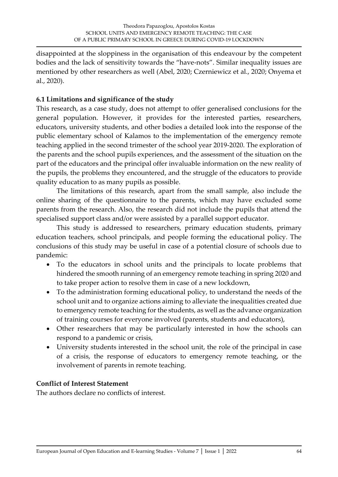disappointed at the sloppiness in the organisation of this endeavour by the competent bodies and the lack of sensitivity towards the "have-nots". Similar inequality issues are mentioned by other researchers as well (Abel, 2020; Czerniewicz et al., 2020; Onyema et al., 2020).

### **6.1 Limitations and significance of the study**

This research, as a case study, does not attempt to offer generalised conclusions for the general population. However, it provides for the interested parties, researchers, educators, university students, and other bodies a detailed look into the response of the public elementary school of Kalamos to the implementation of the emergency remote teaching applied in the second trimester of the school year 2019-2020. The exploration of the parents and the school pupils experiences, and the assessment of the situation on the part of the educators and the principal offer invaluable information on the new reality of the pupils, the problems they encountered, and the struggle of the educators to provide quality education to as many pupils as possible.

The limitations of this research, apart from the small sample, also include the online sharing of the questionnaire to the parents, which may have excluded some parents from the research. Also, the research did not include the pupils that attend the specialised support class and/or were assisted by a parallel support educator.

This study is addressed to researchers, primary education students, primary education teachers, school principals, and people forming the educational policy. The conclusions of this study may be useful in case of a potential closure of schools due to pandemic:

- To the educators in school units and the principals to locate problems that hindered the smooth running of an emergency remote teaching in spring 2020 and to take proper action to resolve them in case of a new lockdown,
- To the administration forming educational policy, to understand the needs of the school unit and to organize actions aiming to alleviate the inequalities created due to emergency remote teaching for the students, as well as the advance organization of training courses for everyone involved (parents, students and educators),
- Other researchers that may be particularly interested in how the schools can respond to a pandemic or crisis,
- University students interested in the school unit, the role of the principal in case of a crisis, the response of educators to emergency remote teaching, or the involvement of parents in remote teaching.

#### **Conflict of Interest Statement**

The authors declare no conflicts of interest.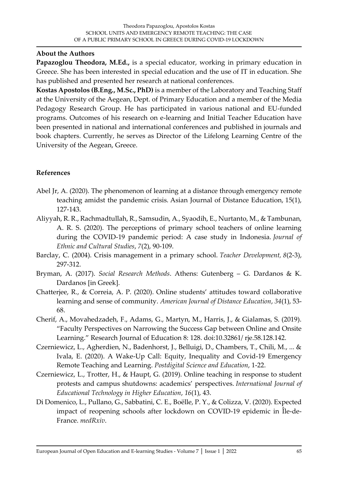#### **About the Authors**

**Papazoglou Theodora, M.Ed.,** is a special educator, working in primary education in Greece. She has been interested in special education and the use of IT in education. She has published and presented her research at national conferences.

**Kostas Apostolos (B.Eng., M.Sc., PhD)** is a member of the Laboratory and Teaching Staff at the University of the Aegean, Dept. of Primary Education and a member of the Media Pedagogy Research Group. He has participated in various national and EU-funded programs. Outcomes of his research on e-learning and Initial Teacher Education have been presented in national and international conferences and published in journals and book chapters. Currently, he serves as Director of the Lifelong Learning Centre of the University of the Aegean, Greece.

### **References**

- Abel Jr, A. (2020). The phenomenon of learning at a distance through emergency remote teaching amidst the pandemic crisis. Asian Journal of Distance Education, 15(1), 127-143.
- Aliyyah, R. R., Rachmadtullah, R., Samsudin, A., Syaodih, E., Nurtanto, M., & Tambunan, A. R. S. (2020). The perceptions of primary school teachers of online learning during the COVID-19 pandemic period: A case study in Indonesia. *Journal of Ethnic and Cultural Studies*, *7*(2), 90-109.
- Barclay, C. (2004). Crisis management in a primary school. *Teacher Development, 8*(2-3), 297-312.
- Bryman, A. (2017). *Social Research Methods*. Athens: Gutenberg G. Dardanos & K. Dardanos [in Greek].
- Chatterjee, R., & Correia, A. P. (2020). Online students' attitudes toward collaborative learning and sense of community. *American Journal of Distance Education*, *34*(1), 53- 68.
- Cherif, A., Movahedzadeh, F., Adams, G., Martyn, M., Harris, J., & Gialamas, S. (2019). "Faculty Perspectives on Narrowing the Success Gap between Online and Onsite Learning." Research Journal of Education 8: 128. doi:10.32861/ rje.58.128.142.
- Czerniewicz, L., Agherdien, N., Badenhorst, J., Belluigi, D., Chambers, T., Chili, M., ... & Ivala, E. (2020). A Wake-Up Call: Equity, Inequality and Covid-19 Emergency Remote Teaching and Learning. *Postdigital Science and Education*, 1-22.
- Czerniewicz, L., Trotter, H., & Haupt, G. (2019). Online teaching in response to student protests and campus shutdowns: academics' perspectives. *International Journal of Educational Technology in Higher Education*, *16*(1), 43.
- Di Domenico, L., Pullano, G., Sabbatini, C. E., Boëlle, P. Y., & Colizza, V. (2020). Expected impact of reopening schools after lockdown on COVID-19 epidemic in Île-de-France. *medRxiv*.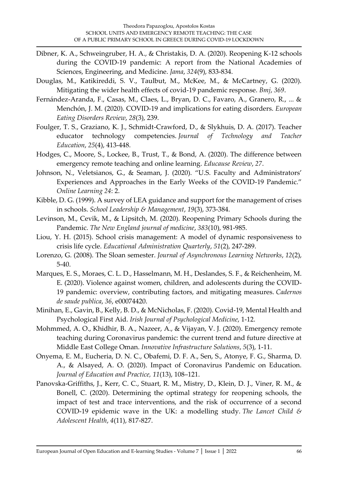- Dibner, K. A., Schweingruber, H. A., & Christakis, D. A. (2020). Reopening K-12 schools during the COVID-19 pandemic: A report from the National Academies of Sciences, Engineering, and Medicine. *Jama*, *324*(9), 833-834.
- Douglas, M., Katikireddi, S. V., Taulbut, M., McKee, M., & McCartney, G. (2020). Mitigating the wider health effects of covid-19 pandemic response. *Bmj*, *369*.
- Fernández‐Aranda, F., Casas, M., Claes, L., Bryan, D. C., Favaro, A., Granero, R., ... & Menchón, J. M. (2020). COVID‐19 and implications for eating disorders. *European Eating Disorders Review*, *28*(3), 239.
- Foulger, T. S., Graziano, K. J., Schmidt-Crawford, D., & Slykhuis, D. A. (2017). Teacher educator technology competencies. *Journal of Technology and Teacher Education*, *25*(4), 413-448.
- Hodges, C., Moore, S., Lockee, B., Trust, T., & Bond, A. (2020). The difference between emergency remote teaching and online learning. *Educause Review*, *27*.
- Johnson, N., Veletsianos, G., & Seaman, J. (2020). "U.S. Faculty and Administrators' Experiences and Approaches in the Early Weeks of the COVID-19 Pandemic." *Online Learning 24*: 2.
- Kibble, D. G. (1999). A survey of LEA guidance and support for the management of crises in schools. *School Leadership & Management*, *19*(3), 373-384.
- Levinson, M., Cevik, M., & Lipsitch, M. (2020). Reopening Primary Schools during the Pandemic. *The New England journal of medicine*, *383*(10), 981-985.
- Liou, Y. H. (2015). School crisis management: A model of dynamic responsiveness to crisis life cycle. *Educational Administration Quarterly*, *51*(2), 247-289.
- Lorenzo, G. (2008). The Sloan semester. *Journal of Asynchronous Learning Networks*, *12*(2), 5-40.
- Marques, E. S., Moraes, C. L. D., Hasselmann, M. H., Deslandes, S. F., & Reichenheim, M. E. (2020). Violence against women, children, and adolescents during the COVID-19 pandemic: overview, contributing factors, and mitigating measures. *Cadernos de saude publica*, *36*, e00074420.
- Minihan, E., Gavin, B., Kelly, B. D., & McNicholas, F. (2020). Covid-19, Mental Health and Psychological First Aid. *Irish Journal of Psychological Medicine*, 1-12.
- Mohmmed, A. O., Khidhir, B. A., Nazeer, A., & Vijayan, V. J. (2020). Emergency remote teaching during Coronavirus pandemic: the current trend and future directive at Middle East College Oman. *Innovative Infrastructure Solutions*, *5*(3), 1-11.
- Onyema, E. M., Eucheria, D. N. C., Obafemi, D. F. A., Sen, S., Atonye, F. G., Sharma, D. A., & Alsayed, A. O. (2020). Impact of Coronavirus Pandemic on Education. *Journal of Education and Practice, 11*(13), 108–121.
- Panovska-Griffiths, J., Kerr, C. C., Stuart, R. M., Mistry, D., Klein, D. J., Viner, R. M., & Bonell, C. (2020). Determining the optimal strategy for reopening schools, the impact of test and trace interventions, and the risk of occurrence of a second COVID-19 epidemic wave in the UK: a modelling study. *The Lancet Child & Adolescent Health*, *4*(11), 817-827.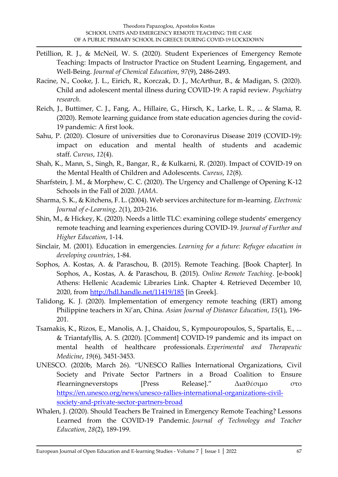- Petillion, R. J., & McNeil, W. S. (2020). Student Experiences of Emergency Remote Teaching: Impacts of Instructor Practice on Student Learning, Engagement, and Well-Being. *Journal of Chemical Education*, *97*(9), 2486-2493.
- Racine, N., Cooke, J. L., Eirich, R., Korczak, D. J., McArthur, B., & Madigan, S. (2020). Child and adolescent mental illness during COVID-19: A rapid review. *Psychiatry research*.
- Reich, J., Buttimer, C. J., Fang, A., Hillaire, G., Hirsch, K., Larke, L. R., ... & Slama, R. (2020). Remote learning guidance from state education agencies during the covid-19 pandemic: A first look.
- Sahu, P. (2020). Closure of universities due to Coronavirus Disease 2019 (COVID-19): impact on education and mental health of students and academic staff. *Cureus*, *12*(4).
- Shah, K., Mann, S., Singh, R., Bangar, R., & Kulkarni, R. (2020). Impact of COVID-19 on the Mental Health of Children and Adolescents. *Cureus*, *12*(8).
- Sharfstein, J. M., & Morphew, C. C. (2020). The Urgency and Challenge of Opening K-12 Schools in the Fall of 2020. *JAMA*.
- Sharma, S. K., & Kitchens, F. L. (2004). Web services architecture for m-learning. *Electronic Journal of e-Learning*, *2*(1), 203-216.
- Shin, M., & Hickey, K. (2020). Needs a little TLC: examining college students' emergency remote teaching and learning experiences during COVID-19. *Journal of Further and Higher Education*, 1-14.
- Sinclair, M. (2001). Education in emergencies. *Learning for a future: Refugee education in developing countries*, 1-84.
- Sophos, A. Kostas, A. & Paraschou, B. (2015). Remote Teaching. [Book Chapter]. In Sophos, A., Kostas, A. & Paraschou, B. (2015). *Online Remote Teaching*. [e-book] Athens: Hellenic Academic Libraries Link. Chapter 4. Retrieved December 10, 2020, from<http://hdl.handle.net/11419/185> [in Greek].
- Talidong, K. J. (2020). Implementation of emergency remote teaching (ERT) among Philippine teachers in Xi'an, China. *Asian Journal of Distance Education*, *15*(1), 196- 201.
- Tsamakis, K., Rizos, E., Manolis, A. J., Chaidou, S., Kympouropoulos, S., Spartalis, E., ... & Triantafyllis, A. S. (2020). [Comment] COVID-19 pandemic and its impact on mental health of healthcare professionals. *Experimental and Therapeutic Medicine*, *19*(6), 3451-3453.
- UNESCO. (2020b, March 26). "UNESCO Rallies International Organizations, Civil Society and Private Sector Partners in a Broad Coalition to Ensure #learningneverstops [Press Release]." Διαθέσιμο στο [https://en.unesco.org/news/unesco-rallies-international-organizations-civil](https://en.unesco.org/news/unesco-rallies-international-organizations-civil-society-and-private-sector-partners-broad)[society-and-private-sector-partners-broad](https://en.unesco.org/news/unesco-rallies-international-organizations-civil-society-and-private-sector-partners-broad)
- Whalen, J. (2020). Should Teachers Be Trained in Emergency Remote Teaching? Lessons Learned from the COVID-19 Pandemic. *Journal of Technology and Teacher Education*, *28*(2), 189-199.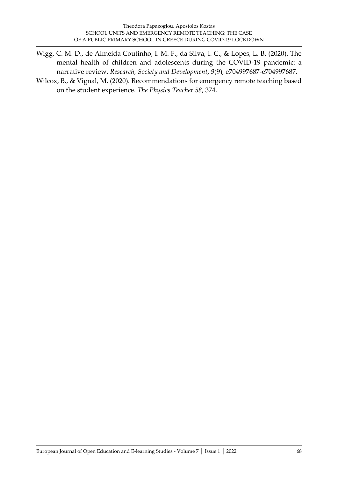Wigg, C. M. D., de Almeida Coutinho, I. M. F., da Silva, I. C., & Lopes, L. B. (2020). The mental health of children and adolescents during the COVID-19 pandemic: a narrative review. *Research, Society and Development*, *9*(9), e704997687-e704997687.

Wilcox, B., & Vignal, M. (2020). Recommendations for emergency remote teaching based on the student experience. *The Physics Teacher 58*, 374.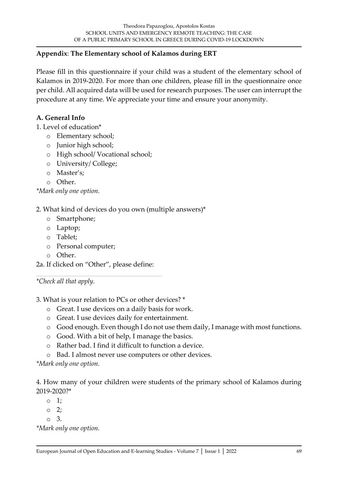### **Appendix**: **The Elementary school of Kalamos during ERT**

Please fill in this questionnaire if your child was a student of the elementary school of Kalamos in 2019-2020. For more than one children, please fill in the questionnaire once per child. All acquired data will be used for research purposes. The user can interrupt the procedure at any time. We appreciate your time and ensure your anonymity.

### **A. General Info**

- 1. Level of education\*
	- o Elementary school;
	- o Junior high school;
	- o High school/ Vocational school;
	- o University/ College;
	- o Master's;
	- o Other.

*\*Mark only one option.*

### 2. What kind of devices do you own (multiple answers)\*

- o Smartphone;
- o Laptop;
- o Tablet;
- o Personal computer;
- o Other.
- 2a. If clicked on "Other", please define:

*\*Check all that apply.*

3. What is your relation to PCs or other devices? \*

- o Great. I use devices on a daily basis for work.
- o Great. I use devices daily for entertainment.
- o Good enough. Even though I do not use them daily, I manage with most functions.
- o Good. With a bit of help, I manage the basics.
- o Rather bad. I find it difficult to function a device.
- o Bad. I almost never use computers or other devices.

*\*Mark only one option.*

4. How many of your children were students of the primary school of Kalamos during 2019-2020?\*

- o 1;
- $\circ$  2;
- o 3.

*\*Mark only one option.*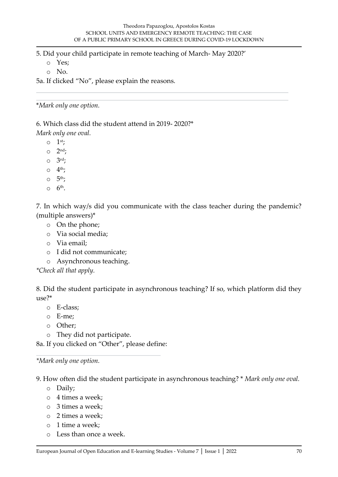5. Did your child participate in remote teaching of March- May 2020?'

o Yes;

o No.

5a. If clicked "No", please explain the reasons.

\**Mark only one option.*

6. Which class did the student attend in 2019- 2020?\*

*Mark only one oval.*

 $\circ$  1<sup>st</sup>;

 $\circ$  2<sup>nd</sup>;

 $\circ$   $3^{\text{rd}}$ ;

 $\circ$  4<sup>th</sup>;

- $\circ$  5<sup>th</sup>;
- $\circ$  6<sup>th</sup>.

7. In which way/s did you communicate with the class teacher during the pandemic? (multiple answers)\*

- o On the phone;
- o Via social media;
- o Via email;
- o I did not communicate;
- o Asynchronous teaching.

*\*Check all that apply.*

8. Did the student participate in asynchronous teaching? If so, which platform did they use?\*

- o E-class;
- o E-me;
- o Other;
- o They did not participate.

8a. If you clicked on "Other", please define:

*\*Mark only one option.*

9. How often did the student participate in asynchronous teaching? \* *Mark only one oval.*

- o Daily;
- o 4 times a week;
- o 3 times a week;
- o 2 times a week;
- o 1 time a week;
- o Less than once a week.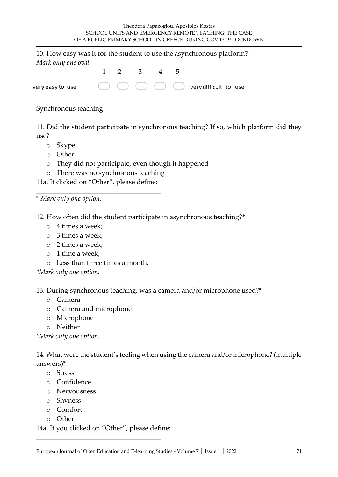| very easy to use    |  |                         | $\bigcirc$ $\bigcirc$ $\bigcirc$ $\bigcirc$ $\bigcirc$ $\bigcirc$ $\bigcirc$ very difficult to use |
|---------------------|--|-------------------------|----------------------------------------------------------------------------------------------------|
|                     |  | $1 \t 2 \t 3 \t 4 \t 5$ |                                                                                                    |
| Mark only one oval. |  |                         |                                                                                                    |
|                     |  |                         | 10. How easy was it for the student to use the asynchronous platform? *                            |

#### Synchronous teaching

11. Did the student participate in synchronous teaching? If so, which platform did they use?

- o Skype
- o Other
- o They did not participate, even though it happened
- o There was no synchronous teaching

11a. If clicked on "Other", please define:

\* *Mark only one option.*

12. How often did the student participate in asynchronous teaching?\*

- o 4 times a week;
- o 3 times a week;
- o 2 times a week;
- o 1 time a week;
- o Less than three times a month.

*\*Mark only one option.*

13. During synchronous teaching, was a camera and/or microphone used?\*

- o Camera
- o Camera and microphone
- o Microphone
- o Neither

*\*Mark only one option.*

14. What were the student's feeling when using the camera and/or microphone? (multiple answers)\*

- o Stress
- o Confidence
- o Nervousness
- o Shyness
- o Comfort
- o Other

14a. If you clicked on "Other", please define: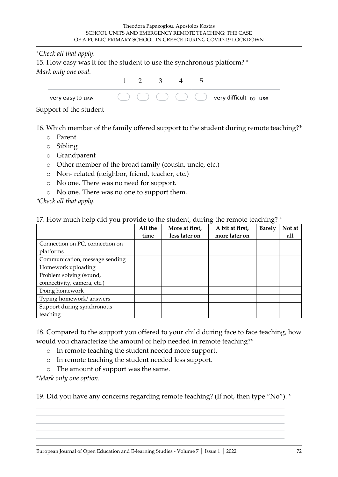*\*Check all that apply.*

15. How easy was it for the student to use the synchronous platform? \* *Mark only one oval.*

| very easy to use |  |  | very difficult to use |
|------------------|--|--|-----------------------|

#### Support of the student

16. Which member of the family offered support to the student during remote teaching?\*

- o Parent
- o Sibling
- o Grandparent
- o Other member of the broad family (cousin, uncle, etc.)
- o Non- related (neighbor, friend, teacher, etc.)
- o No one. There was no need for support.
- o No one. There was no one to support them.

*\*Check all that apply.*

#### 17. How much help did you provide to the student, during the remote teaching? \*

|                                 | All the | More at first, | A bit at first, | <b>Barely</b> | Not at |
|---------------------------------|---------|----------------|-----------------|---------------|--------|
|                                 | time    | less later on  | more later on   |               | all    |
| Connection on PC, connection on |         |                |                 |               |        |
| platforms                       |         |                |                 |               |        |
| Communication, message sending  |         |                |                 |               |        |
| Homework uploading              |         |                |                 |               |        |
| Problem solving (sound,         |         |                |                 |               |        |
| connectivity, camera, etc.)     |         |                |                 |               |        |
| Doing homework                  |         |                |                 |               |        |
| Typing homework/answers         |         |                |                 |               |        |
| Support during synchronous      |         |                |                 |               |        |
| teaching                        |         |                |                 |               |        |

18. Compared to the support you offered to your child during face to face teaching, how would you characterize the amount of help needed in remote teaching?\*

- o In remote teaching the student needed more support.
- o In remote teaching the student needed less support.
- o The amount of support was the same.

\**Mark only one option.*

19. Did you have any concerns regarding remote teaching? (If not, then type "No"). \*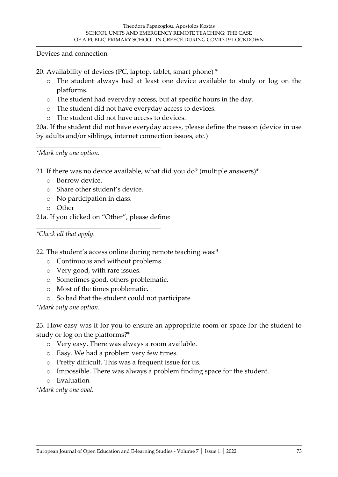Devices and connection

20. Availability of devices (PC, laptop, tablet, smart phone) \*

- o The student always had at least one device available to study or log on the platforms.
- o The student had everyday access, but at specific hours in the day.
- o The student did not have everyday access to devices.
- o The student did not have access to devices.

20a. If the student did not have everyday access, please define the reason (device in use by adults and/or siblings, internet connection issues, etc.)

*\*Mark only one option.*

21. If there was no device available, what did you do? (multiple answers)\*

- o Borrow device.
- o Share other student's device.
- o No participation in class.
- o Other

21a. If you clicked on "Other", please define:

*\*Check all that apply.*

22. The student's access online during remote teaching was:\*

- o Continuous and without problems.
- o Very good, with rare issues.
- o Sometimes good, others problematic.
- o Most of the times problematic.
- o So bad that the student could not participate

*\*Mark only one option.*

23. How easy was it for you to ensure an appropriate room or space for the student to study or log on the platforms?\*

- o Very easy. There was always a room available.
- o Easy. We had a problem very few times.
- o Pretty difficult. This was a frequent issue for us.
- o Impossible. There was always a problem finding space for the student.
- o Evaluation

*\*Mark only one oval.*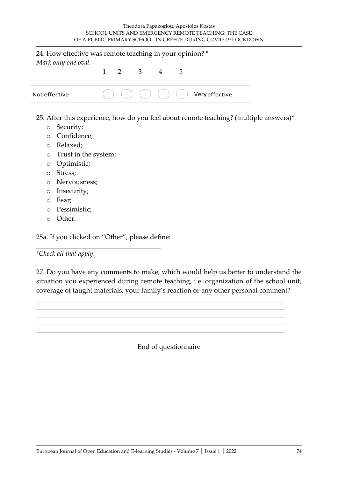| 24. How effective was remote teaching in your opinion? *<br>Mark only one oval. |  |                     |  |  |                                                      |
|---------------------------------------------------------------------------------|--|---------------------|--|--|------------------------------------------------------|
|                                                                                 |  | $1 \t2 \t3 \t4 \t5$ |  |  |                                                      |
| Not effective                                                                   |  |                     |  |  | $( ) ( ) ( ) ( ) ( ) ( )$ ( ) ( ) ( ) Very effective |

- 25. After this experience, how do you feel about remote teaching? (multiple answers)\*
	- o Security;
	- o Confidence;
	- o Relaxed;
	- o Trust in the system;
	- o Optimistic;
	- o Stress;
	- o Nervousness;
	- o Insecurity;
	- o Fear;
	- o Pessimistic;
	- o Other.

25a. If you clicked on "Other", please define:

*\*Check all that apply.*

27. Do you have any comments to make, which would help us better to understand the situation you experienced during remote teaching, i.e. organization of the school unit, coverage of taught materials, your family's reaction or any other personal comment?

End of questionnaire